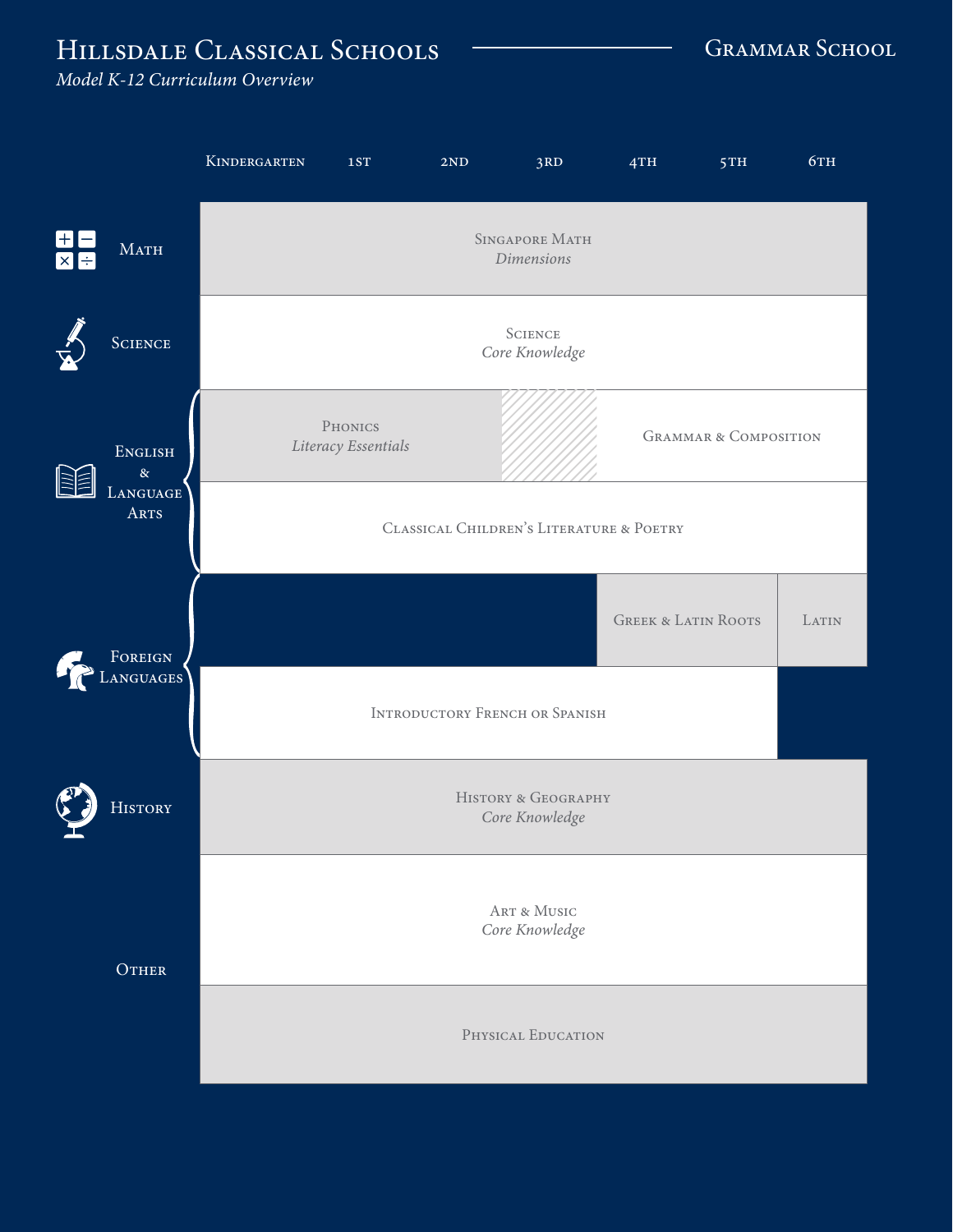## HILLSDALE CLASSICAL SCHOOLS **CLASSICAL SCHOOLS** GRAMMAR SCHOOL

*Model K-12 Curriculum Overview*